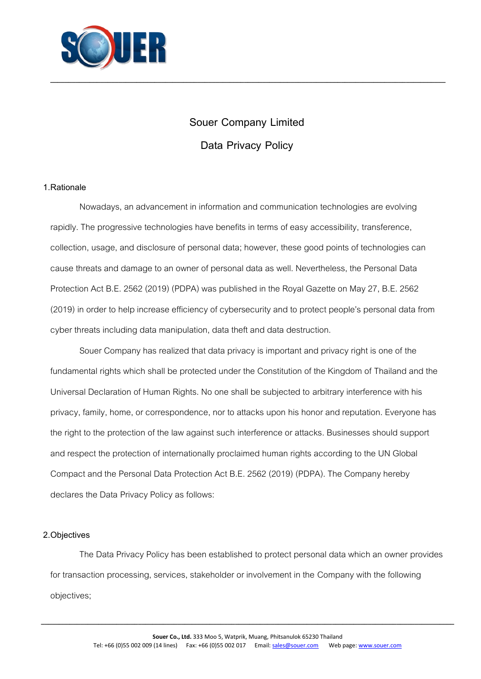

# **Souer Company Limited**

**\_\_\_\_\_\_\_\_\_\_\_\_\_\_\_\_\_\_\_\_\_\_\_\_\_\_\_\_\_\_\_\_\_\_\_\_\_\_\_\_\_\_\_\_\_\_\_\_\_\_\_\_\_\_\_\_\_\_\_\_\_\_\_\_\_\_\_\_\_\_\_\_\_\_\_\_\_\_\_\_\_\_\_\_\_\_\_\_\_\_\_\_\_\_\_\_\_\_\_\_\_\_\_\_\_\_\_\_\_\_**

## **Data Privacy Policy**

#### **1.Rationale**

Nowadays, an advancement in information and communication technologies are evolving rapidly. The progressive technologies have benefits in terms of easy accessibility, transference, collection, usage, and disclosure of personal data; however, these good points of technologies can cause threats and damage to an owner of personal data as well. Nevertheless, the Personal Data Protection Act B.E. 2562 (2019) (PDPA) was published in the Royal Gazette on May 27, B.E. 2562 (2019) in order to help increase efficiency of cybersecurity and to protect people's personal data from cyber threats including data manipulation, data theft and data destruction.

Souer Company has realized that data privacy is important and privacy right is one of the fundamental rights which shall be protected under the Constitution of the Kingdom of Thailand and the Universal Declaration of Human Rights. No one shall be subjected to arbitrary interference with his privacy, family, home, or correspondence, nor to attacks upon his honor and reputation. Everyone has the right to the protection of the law against such interference or attacks. Businesses should support and respect the protection of internationally proclaimed human rights according to the UN Global Compact and the Personal Data Protection Act B.E. 2562 (2019) (PDPA). The Company hereby declares the Data Privacy Policy as follows:

## **2.Objectives**

The Data Privacy Policy has been established to protect personal data which an owner provides for transaction processing, services, stakeholder or involvement in the Company with the following objectives;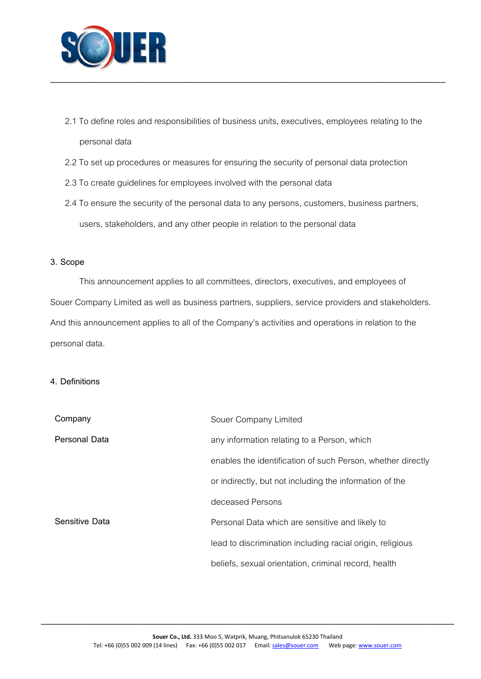

2.1 To define roles and responsibilities of business units, executives, employees relating to the personal data

**\_\_\_\_\_\_\_\_\_\_\_\_\_\_\_\_\_\_\_\_\_\_\_\_\_\_\_\_\_\_\_\_\_\_\_\_\_\_\_\_\_\_\_\_\_\_\_\_\_\_\_\_\_\_\_\_\_\_\_\_\_\_\_\_\_\_\_\_\_\_\_\_\_\_\_\_\_\_\_\_\_\_\_\_\_\_\_\_\_\_\_\_\_\_\_\_\_\_\_\_\_\_\_\_\_\_\_\_\_\_**

- 2.2 To set up procedures or measures for ensuring the security of personal data protection
- 2.3 To create guidelines for employees involved with the personal data
- 2.4 To ensure the security of the personal data to any persons, customers, business partners, users, stakeholders, and any other people in relation to the personal data

#### **3. Scope**

This announcement applies to all committees, directors, executives, and employees of Souer Company Limited as well as business partners, suppliers, service providers and stakeholders. And this announcement applies to all of the Company's activities and operations in relation to the personal data.

#### **4. Definitions**

| Company        | Souer Company Limited                                       |
|----------------|-------------------------------------------------------------|
| Personal Data  | any information relating to a Person, which                 |
|                | enables the identification of such Person, whether directly |
|                | or indirectly, but not including the information of the     |
|                | deceased Persons                                            |
| Sensitive Data | Personal Data which are sensitive and likely to             |
|                | lead to discrimination including racial origin, religious   |
|                | beliefs, sexual orientation, criminal record, health        |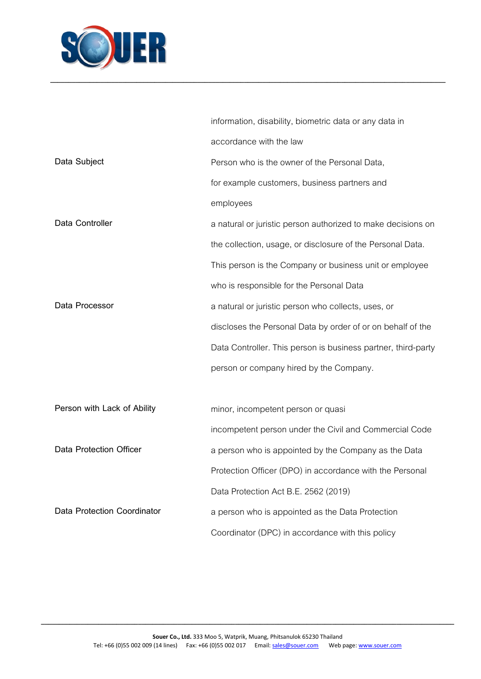

|                             | information, disability, biometric data or any data in        |
|-----------------------------|---------------------------------------------------------------|
|                             | accordance with the law                                       |
| Data Subject                | Person who is the owner of the Personal Data,                 |
|                             | for example customers, business partners and                  |
|                             | employees                                                     |
| Data Controller             | a natural or juristic person authorized to make decisions on  |
|                             | the collection, usage, or disclosure of the Personal Data.    |
|                             | This person is the Company or business unit or employee       |
|                             | who is responsible for the Personal Data                      |
| Data Processor              | a natural or juristic person who collects, uses, or           |
|                             | discloses the Personal Data by order of or on behalf of the   |
|                             | Data Controller. This person is business partner, third-party |
|                             | person or company hired by the Company.                       |
|                             |                                                               |
| Person with Lack of Ability | minor, incompetent person or quasi                            |
|                             | incompetent person under the Civil and Commercial Code        |
| Data Protection Officer     | a person who is appointed by the Company as the Data          |
|                             | Protection Officer (DPO) in accordance with the Personal      |
|                             | Data Protection Act B.E. 2562 (2019)                          |
| Data Protection Coordinator | a person who is appointed as the Data Protection              |
|                             | Coordinator (DPC) in accordance with this policy              |

**\_\_\_\_\_\_\_\_\_\_\_\_\_\_\_\_\_\_\_\_\_\_\_\_\_\_\_\_\_\_\_\_\_\_\_\_\_\_\_\_\_\_\_\_\_\_\_\_\_\_\_\_\_\_\_\_\_\_\_\_\_\_\_\_\_\_\_\_\_\_\_\_\_\_\_\_\_\_\_\_\_\_\_\_\_\_\_\_\_\_\_\_\_\_\_\_\_\_\_\_\_\_\_\_\_\_\_\_\_\_**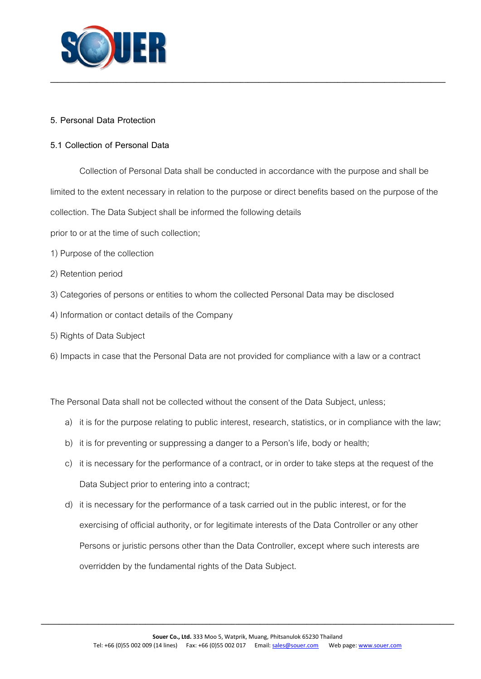

## **5. Personal Data Protection**

## **5.1 Collection of Personal Data**

Collection of Personal Data shall be conducted in accordance with the purpose and shall be limited to the extent necessary in relation to the purpose or direct benefits based on the purpose of the collection. The Data Subject shall be informed the following details

**\_\_\_\_\_\_\_\_\_\_\_\_\_\_\_\_\_\_\_\_\_\_\_\_\_\_\_\_\_\_\_\_\_\_\_\_\_\_\_\_\_\_\_\_\_\_\_\_\_\_\_\_\_\_\_\_\_\_\_\_\_\_\_\_\_\_\_\_\_\_\_\_\_\_\_\_\_\_\_\_\_\_\_\_\_\_\_\_\_\_\_\_\_\_\_\_\_\_\_\_\_\_\_\_\_\_\_\_\_\_**

prior to or at the time of such collection;

- 1) Purpose of the collection
- 2) Retention period
- 3) Categories of persons or entities to whom the collected Personal Data may be disclosed
- 4) Information or contact details of the Company
- 5) Rights of Data Subject
- 6) Impacts in case that the Personal Data are not provided for compliance with a law or a contract

The Personal Data shall not be collected without the consent of the Data Subject, unless;

- a) it is for the purpose relating to public interest, research, statistics, or in compliance with the law;
- b) it is for preventing or suppressing a danger to a Person's life, body or health;
- c) it is necessary for the performance of a contract, or in order to take steps at the request of the Data Subject prior to entering into a contract;
- d) it is necessary for the performance of a task carried out in the public interest, or for the exercising of official authority, or for legitimate interests of the Data Controller or any other Persons or juristic persons other than the Data Controller, except where such interests are overridden by the fundamental rights of the Data Subject.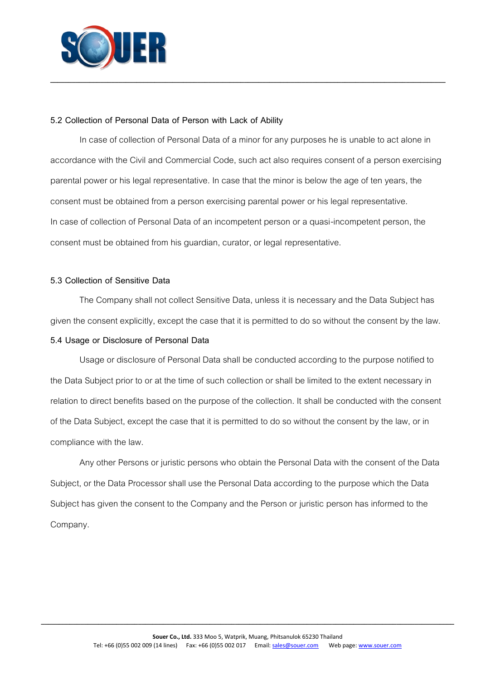

#### **5.2 Collection of Personal Data of Person with Lack of Ability**

In case of collection of Personal Data of a minor for any purposes he is unable to act alone in accordance with the Civil and Commercial Code, such act also requires consent of a person exercising parental power or his legal representative. In case that the minor is below the age of ten years, the consent must be obtained from a person exercising parental power or his legal representative. In case of collection of Personal Data of an incompetent person or a quasi-incompetent person, the consent must be obtained from his guardian, curator, or legal representative.

**\_\_\_\_\_\_\_\_\_\_\_\_\_\_\_\_\_\_\_\_\_\_\_\_\_\_\_\_\_\_\_\_\_\_\_\_\_\_\_\_\_\_\_\_\_\_\_\_\_\_\_\_\_\_\_\_\_\_\_\_\_\_\_\_\_\_\_\_\_\_\_\_\_\_\_\_\_\_\_\_\_\_\_\_\_\_\_\_\_\_\_\_\_\_\_\_\_\_\_\_\_\_\_\_\_\_\_\_\_\_**

## **5.3 Collection of Sensitive Data**

The Company shall not collect Sensitive Data, unless it is necessary and the Data Subject has given the consent explicitly, except the case that it is permitted to do so without the consent by the law.

## **5.4 Usage or Disclosure of Personal Data**

Usage or disclosure of Personal Data shall be conducted according to the purpose notified to the Data Subject prior to or at the time of such collection or shall be limited to the extent necessary in relation to direct benefits based on the purpose of the collection. It shall be conducted with the consent of the Data Subject, except the case that it is permitted to do so without the consent by the law, or in compliance with the law.

Any other Persons or juristic persons who obtain the Personal Data with the consent of the Data Subject, or the Data Processor shall use the Personal Data according to the purpose which the Data Subject has given the consent to the Company and the Person or juristic person has informed to the Company.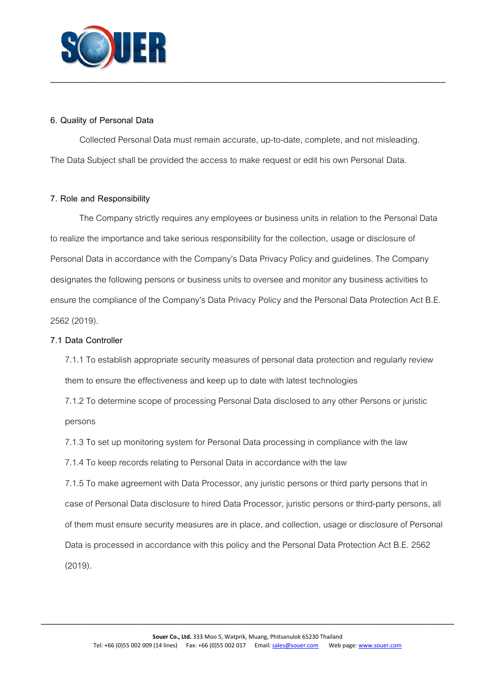

## **6. Quality of Personal Data**

Collected Personal Data must remain accurate, up-to-date, complete, and not misleading. The Data Subject shall be provided the access to make request or edit his own Personal Data.

**\_\_\_\_\_\_\_\_\_\_\_\_\_\_\_\_\_\_\_\_\_\_\_\_\_\_\_\_\_\_\_\_\_\_\_\_\_\_\_\_\_\_\_\_\_\_\_\_\_\_\_\_\_\_\_\_\_\_\_\_\_\_\_\_\_\_\_\_\_\_\_\_\_\_\_\_\_\_\_\_\_\_\_\_\_\_\_\_\_\_\_\_\_\_\_\_\_\_\_\_\_\_\_\_\_\_\_\_\_\_**

## **7. Role and Responsibility**

The Company strictly requires any employees or business units in relation to the Personal Data to realize the importance and take serious responsibility for the collection, usage or disclosure of Personal Data in accordance with the Company's Data Privacy Policy and guidelines. The Company designates the following persons or business units to oversee and monitor any business activities to ensure the compliance of the Company's Data Privacy Policy and the Personal Data Protection Act B.E. 2562 (2019).

#### **7.1 Data Controller**

7.1.1 To establish appropriate security measures of personal data protectionand regularly review them to ensure the effectiveness and keep up to date with latest technologies

7.1.2 To determine scope of processing Personal Data disclosed to any other Persons or juristic persons

7.1.3 To set up monitoring system for Personal Data processing in compliance with the law

7.1.4 To keep records relating to Personal Data in accordance with the law

7.1.5 To make agreement with Data Processor, any juristic persons or third party persons that in case of Personal Data disclosure to hired Data Processor, juristic persons or third-party persons, all of them must ensure security measures are in place, and collection, usage or disclosure of Personal Data is processed in accordance with this policy and the Personal Data Protection Act B.E. 2562 (2019).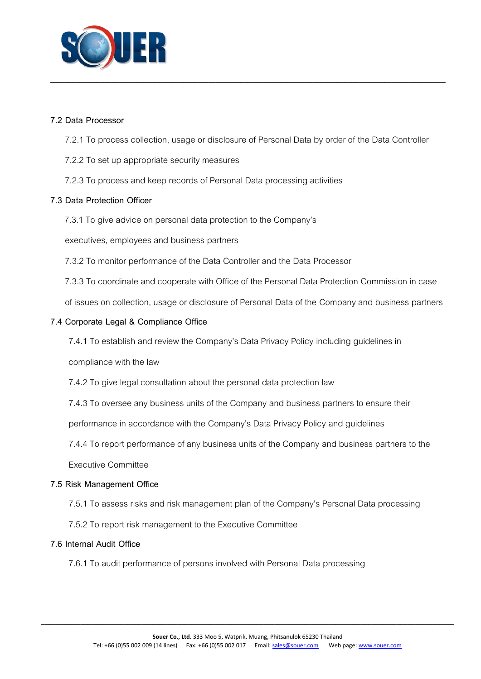

### **7.2 Data Processor**

7.2.1 To process collection, usage or disclosure of Personal Data by order of the Data Controller

**\_\_\_\_\_\_\_\_\_\_\_\_\_\_\_\_\_\_\_\_\_\_\_\_\_\_\_\_\_\_\_\_\_\_\_\_\_\_\_\_\_\_\_\_\_\_\_\_\_\_\_\_\_\_\_\_\_\_\_\_\_\_\_\_\_\_\_\_\_\_\_\_\_\_\_\_\_\_\_\_\_\_\_\_\_\_\_\_\_\_\_\_\_\_\_\_\_\_\_\_\_\_\_\_\_\_\_\_\_\_**

- 7.2.2 To set up appropriate security measures
- 7.2.3 To process and keep records of Personal Data processing activities

## **7.3 Data Protection Officer**

7.3.1 To give advice on personal data protection to the Company's

executives, employees and business partners

- 7.3.2 To monitor performance of the Data Controller and the Data Processor
- 7.3.3 To coordinate and cooperate with Office of the Personal Data Protection Commission in case

of issues on collection, usage or disclosure of Personal Data of the Companyand business partners

#### **7.4 Corporate Legal & Compliance Office**

7.4.1 To establish and review the Company's Data Privacy Policy including guidelines in

compliance with the law

7.4.2 To give legal consultation about the personal data protection law

7.4.3 To oversee any business units of the Company and business partners to ensure their

performance in accordance with the Company's Data Privacy Policy and guidelines

7.4.4 To report performance of any business units of the Company and business partners to the

Executive Committee

#### **7.5 Risk Management Office**

- 7.5.1 To assess risks and risk management plan of the Company's Personal Data processing
- 7.5.2 To report risk management to the Executive Committee

## **7.6 Internal Audit Office**

7.6.1 To audit performance of persons involved with Personal Data processing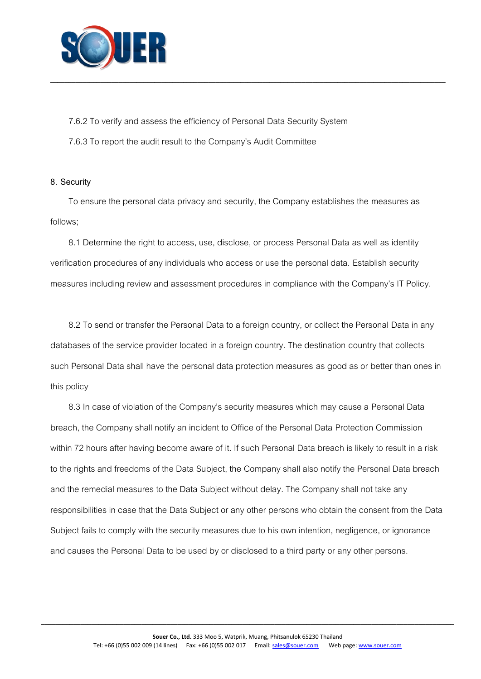

7.6.2 To verify and assess the efficiency of Personal Data Security System 7.6.3 To report the audit result to the Company's Audit Committee

#### **8. Security**

To ensure the personal data privacy and security, the Company establishes the measures as follows;

**\_\_\_\_\_\_\_\_\_\_\_\_\_\_\_\_\_\_\_\_\_\_\_\_\_\_\_\_\_\_\_\_\_\_\_\_\_\_\_\_\_\_\_\_\_\_\_\_\_\_\_\_\_\_\_\_\_\_\_\_\_\_\_\_\_\_\_\_\_\_\_\_\_\_\_\_\_\_\_\_\_\_\_\_\_\_\_\_\_\_\_\_\_\_\_\_\_\_\_\_\_\_\_\_\_\_\_\_\_\_**

8.1 Determine the right to access, use, disclose, or process Personal Data as well as identity verification procedures of any individuals who access or use the personal data. Establish security measures including review and assessment procedures in compliance with the Company's IT Policy.

8.2 To send or transfer the Personal Data to a foreign country, or collect the Personal Data in any databases of the service provider located in a foreign country. The destination country that collects such Personal Data shall have the personal data protection measures as good as or better than ones in this policy

8.3 In case of violation of the Company's security measures which may cause a Personal Data breach, the Company shall notify an incident to Office of the Personal Data Protection Commission within 72 hours after having become aware of it. If such Personal Data breach is likely to result in a risk to the rights and freedoms of the Data Subject, the Company shall also notify the Personal Data breach and the remedial measures to the Data Subject without delay. The Company shall not take any responsibilities in case that the Data Subject or any other persons who obtain the consent from the Data Subject fails to comply with the security measures due to his own intention, negligence, or ignorance and causes the Personal Data to be used by or disclosed to a third party or any other persons.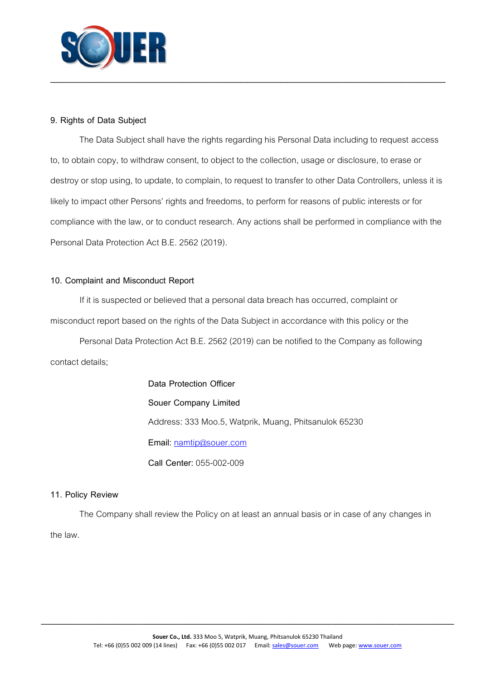

## **9. Rights of Data Subject**

The Data Subject shall have the rights regarding his Personal Data including to request access to, to obtain copy, to withdraw consent, to object to the collection, usage or disclosure, to erase or destroy or stop using, to update, to complain, to request to transfer to other Data Controllers, unless it is likely to impact other Persons' rights and freedoms, to perform for reasons of public interests or for compliance with the law, or to conduct research. Any actions shall be performed in compliance with the Personal Data Protection Act B.E. 2562 (2019).

**\_\_\_\_\_\_\_\_\_\_\_\_\_\_\_\_\_\_\_\_\_\_\_\_\_\_\_\_\_\_\_\_\_\_\_\_\_\_\_\_\_\_\_\_\_\_\_\_\_\_\_\_\_\_\_\_\_\_\_\_\_\_\_\_\_\_\_\_\_\_\_\_\_\_\_\_\_\_\_\_\_\_\_\_\_\_\_\_\_\_\_\_\_\_\_\_\_\_\_\_\_\_\_\_\_\_\_\_\_\_**

## **10. Complaint and Misconduct Report**

If it is suspected or believed that a personal data breach has occurred, complaint or misconduct report based on the rights of the Data Subject in accordance with this policy or the

Personal Data Protection Act B.E. 2562 (2019) can be notified to the Company as following contact details;

> **Data Protection Officer Souer Company Limited** Address: 333 Moo.5, Watprik, Muang, Phitsanulok 65230 Email: [namtip@souer.com](mailto:namtip@souer.com) **Call Center:** 055-002-009

## **11. Policy Review**

The Company shall review the Policy on at least an annual basis or in case of any changes in the law.